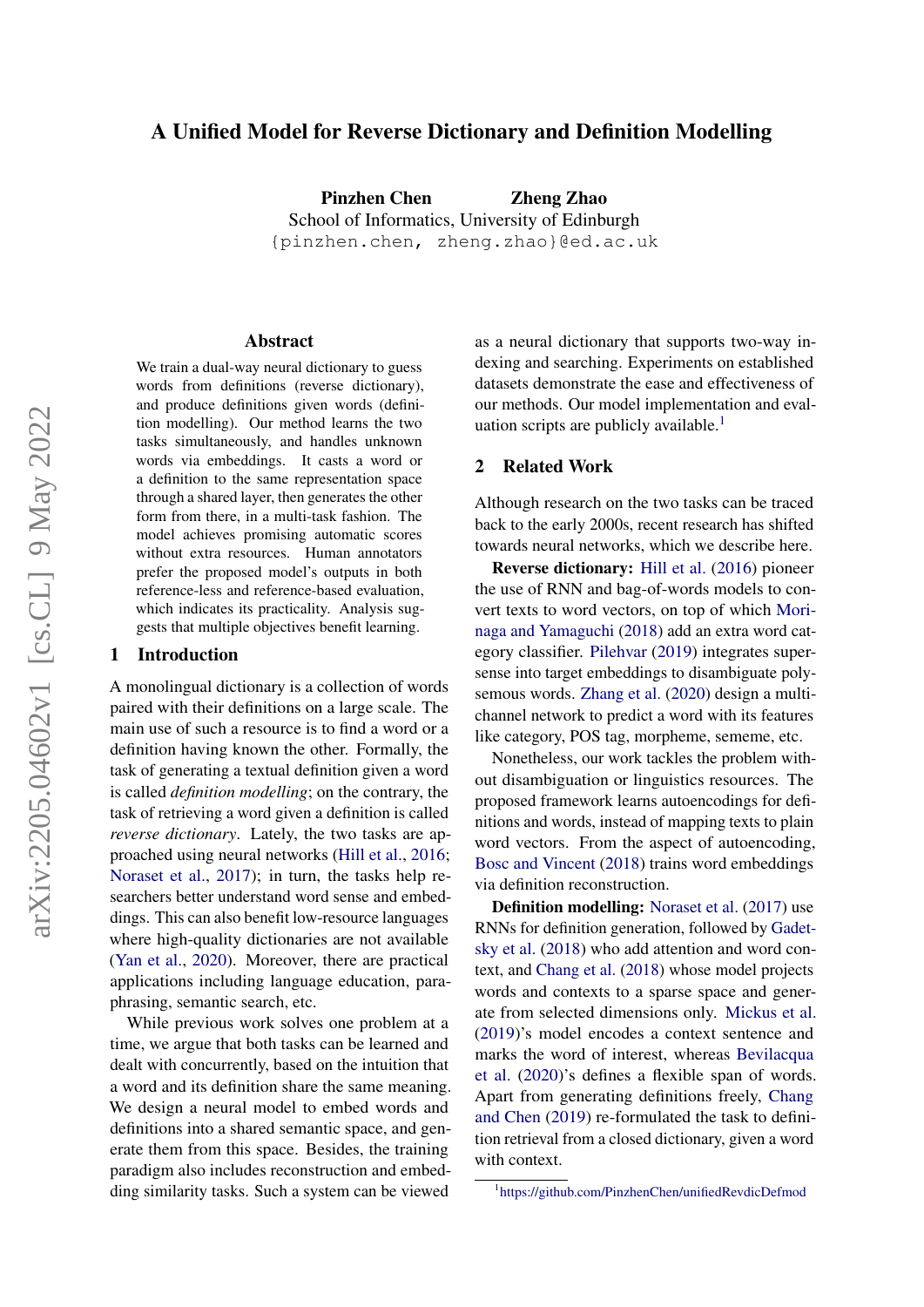# A Unified Model for Reverse Dictionary and Definition Modelling

Pinzhen Chen Zheng Zhao School of Informatics, University of Edinburgh {pinzhen.chen, zheng.zhao}@ed.ac.uk

#### Abstract

We train a dual-way neural dictionary to guess words from definitions (reverse dictionary), and produce definitions given words (definition modelling). Our method learns the two tasks simultaneously, and handles unknown words via embeddings. It casts a word or a definition to the same representation space through a shared layer, then generates the other form from there, in a multi-task fashion. The model achieves promising automatic scores without extra resources. Human annotators prefer the proposed model's outputs in both reference-less and reference-based evaluation, which indicates its practicality. Analysis suggests that multiple objectives benefit learning.

### 1 Introduction

A monolingual dictionary is a collection of words paired with their definitions on a large scale. The main use of such a resource is to find a word or a definition having known the other. Formally, the task of generating a textual definition given a word is called *definition modelling*; on the contrary, the task of retrieving a word given a definition is called *reverse dictionary*. Lately, the two tasks are approached using neural networks [\(Hill et al.,](#page-4-0) [2016;](#page-4-0) [Noraset et al.,](#page-4-1) [2017\)](#page-4-1); in turn, the tasks help researchers better understand word sense and embeddings. This can also benefit low-resource languages where high-quality dictionaries are not available [\(Yan et al.,](#page-5-0) [2020\)](#page-5-0). Moreover, there are practical applications including language education, paraphrasing, semantic search, etc.

While previous work solves one problem at a time, we argue that both tasks can be learned and dealt with concurrently, based on the intuition that a word and its definition share the same meaning. We design a neural model to embed words and definitions into a shared semantic space, and generate them from this space. Besides, the training paradigm also includes reconstruction and embedding similarity tasks. Such a system can be viewed as a neural dictionary that supports two-way indexing and searching. Experiments on established datasets demonstrate the ease and effectiveness of our methods. Our model implementation and eval-uation scripts are publicly available.<sup>[1](#page-0-0)</sup>

## 2 Related Work

Although research on the two tasks can be traced back to the early 2000s, recent research has shifted towards neural networks, which we describe here.

Reverse dictionary: [Hill et al.](#page-4-0) [\(2016\)](#page-4-0) pioneer the use of RNN and bag-of-words models to convert texts to word vectors, on top of which [Mori](#page-4-2)[naga and Yamaguchi](#page-4-2) [\(2018\)](#page-4-2) add an extra word category classifier. [Pilehvar](#page-4-3) [\(2019\)](#page-4-3) integrates supersense into target embeddings to disambiguate polysemous words. [Zhang et al.](#page-5-1) [\(2020\)](#page-5-1) design a multichannel network to predict a word with its features like category, POS tag, morpheme, sememe, etc.

Nonetheless, our work tackles the problem without disambiguation or linguistics resources. The proposed framework learns autoencodings for definitions and words, instead of mapping texts to plain word vectors. From the aspect of autoencoding, [Bosc and Vincent](#page-4-4) [\(2018\)](#page-4-4) trains word embeddings via definition reconstruction.

Definition modelling: [Noraset et al.](#page-4-1) [\(2017\)](#page-4-1) use RNNs for definition generation, followed by [Gadet](#page-4-5)[sky et al.](#page-4-5) [\(2018\)](#page-4-5) who add attention and word context, and [Chang et al.](#page-4-6) [\(2018\)](#page-4-6) whose model projects words and contexts to a sparse space and generate from selected dimensions only. [Mickus et al.](#page-4-7) [\(2019\)](#page-4-7)'s model encodes a context sentence and marks the word of interest, whereas [Bevilacqua](#page-4-8) [et al.](#page-4-8) [\(2020\)](#page-4-8)'s defines a flexible span of words. Apart from generating definitions freely, [Chang](#page-4-9) [and Chen](#page-4-9) [\(2019\)](#page-4-9) re-formulated the task to definition retrieval from a closed dictionary, given a word with context.

<span id="page-0-0"></span><sup>1</sup> <https://github.com/PinzhenChen/unifiedRevdicDefmod>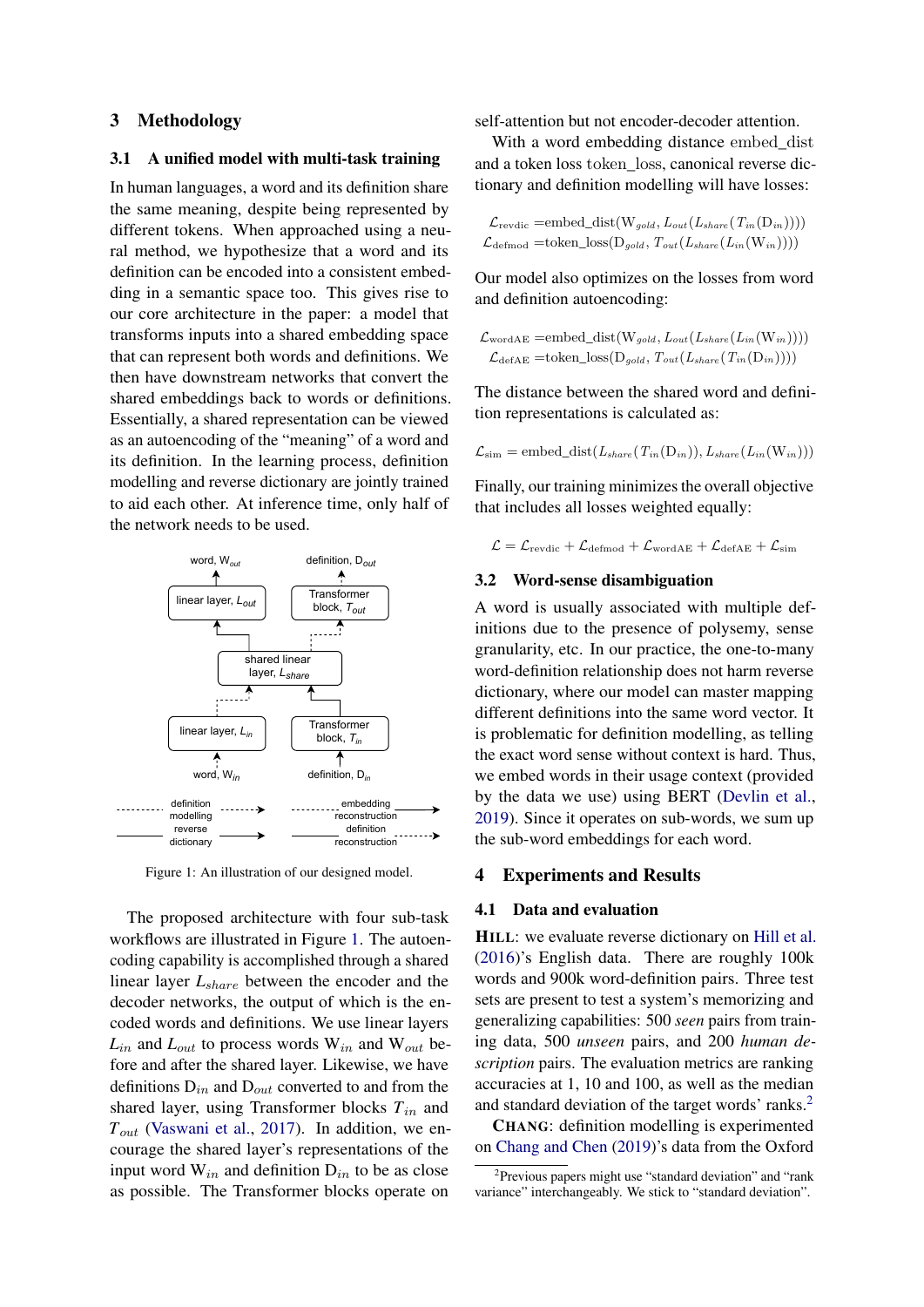## 3 Methodology

## 3.1 A unified model with multi-task training

In human languages, a word and its definition share the same meaning, despite being represented by different tokens. When approached using a neural method, we hypothesize that a word and its definition can be encoded into a consistent embedding in a semantic space too. This gives rise to our core architecture in the paper: a model that transforms inputs into a shared embedding space that can represent both words and definitions. We then have downstream networks that convert the shared embeddings back to words or definitions. Essentially, a shared representation can be viewed as an autoencoding of the "meaning" of a word and its definition. In the learning process, definition modelling and reverse dictionary are jointly trained to aid each other. At inference time, only half of the network needs to be used.

<span id="page-1-0"></span>

Figure 1: An illustration of our designed model.

The proposed architecture with four sub-task workflows are illustrated in Figure [1.](#page-1-0) The autoencoding capability is accomplished through a shared linear layer *L*share between the encoder and the decoder networks, the output of which is the encoded words and definitions. We use linear layers  $L_{in}$  and  $L_{out}$  to process words  $W_{in}$  and  $W_{out}$  before and after the shared layer. Likewise, we have definitions  $D_{in}$  and  $D_{out}$  converted to and from the shared layer, using Transformer blocks  $T_{in}$  and *T*out [\(Vaswani et al.,](#page-5-2) [2017\)](#page-5-2). In addition, we encourage the shared layer's representations of the input word  $W_{in}$  and definition  $D_{in}$  to be as close as possible. The Transformer blocks operate on

self-attention but not encoder-decoder attention.

With a word embedding distance embed\_dist and a token loss token\_loss, canonical reverse dictionary and definition modelling will have losses:

$$
\mathcal{L}_{\text{revdic}} = \text{embed\_dist}(W_{gold}, L_{out}(L_{share}(T_{in}(D_{in}))))
$$
  

$$
\mathcal{L}_{\text{defined}} = \text{token\_loss}(D_{gold}, T_{out}(L_{share}(L_{in}(W_{in}))))
$$

Our model also optimizes on the losses from word and definition autoencoding:

$$
\mathcal{L}_{\text{wordAE}} = \text{embed\_dist}(W_{gold}, L_{out}(L_{share}(L_{in}(W_{in}))))
$$
  

$$
\mathcal{L}_{\text{defAE}} = \text{token\_loss}(D_{gold}, T_{out}(L_{share}(T_{in}(D_{in}))))
$$

The distance between the shared word and definition representations is calculated as:

$$
\mathcal{L}_{sim} = \text{embed\_dist}(L_{share}(T_{in}(D_{in})), L_{share}(L_{in}(W_{in})))
$$

Finally, our training minimizes the overall objective that includes all losses weighted equally:

$$
\mathcal{L} = \mathcal{L}_{\text{revdic}} + \mathcal{L}_{\text{defmod}} + \mathcal{L}_{\text{wordAE}} + \mathcal{L}_{\text{defAE}} + \mathcal{L}_{\text{sim}}
$$

#### 3.2 Word-sense disambiguation

A word is usually associated with multiple definitions due to the presence of polysemy, sense granularity, etc. In our practice, the one-to-many word-definition relationship does not harm reverse dictionary, where our model can master mapping different definitions into the same word vector. It is problematic for definition modelling, as telling the exact word sense without context is hard. Thus, we embed words in their usage context (provided by the data we use) using BERT [\(Devlin et al.,](#page-4-10) [2019\)](#page-4-10). Since it operates on sub-words, we sum up the sub-word embeddings for each word.

### 4 Experiments and Results

### 4.1 Data and evaluation

HILL: we evaluate reverse dictionary on [Hill et al.](#page-4-0) [\(2016\)](#page-4-0)'s English data. There are roughly 100k words and 900k word-definition pairs. Three test sets are present to test a system's memorizing and generalizing capabilities: 500 *seen* pairs from training data, 500 *unseen* pairs, and 200 *human description* pairs. The evaluation metrics are ranking accuracies at 1, 10 and 100, as well as the median and standard deviation of the target words' ranks.<sup>[2](#page-1-1)</sup>

CHANG: definition modelling is experimented on [Chang and Chen](#page-4-9) [\(2019\)](#page-4-9)'s data from the Oxford

<span id="page-1-1"></span><sup>&</sup>lt;sup>2</sup>Previous papers might use "standard deviation" and "rank variance" interchangeably. We stick to "standard deviation".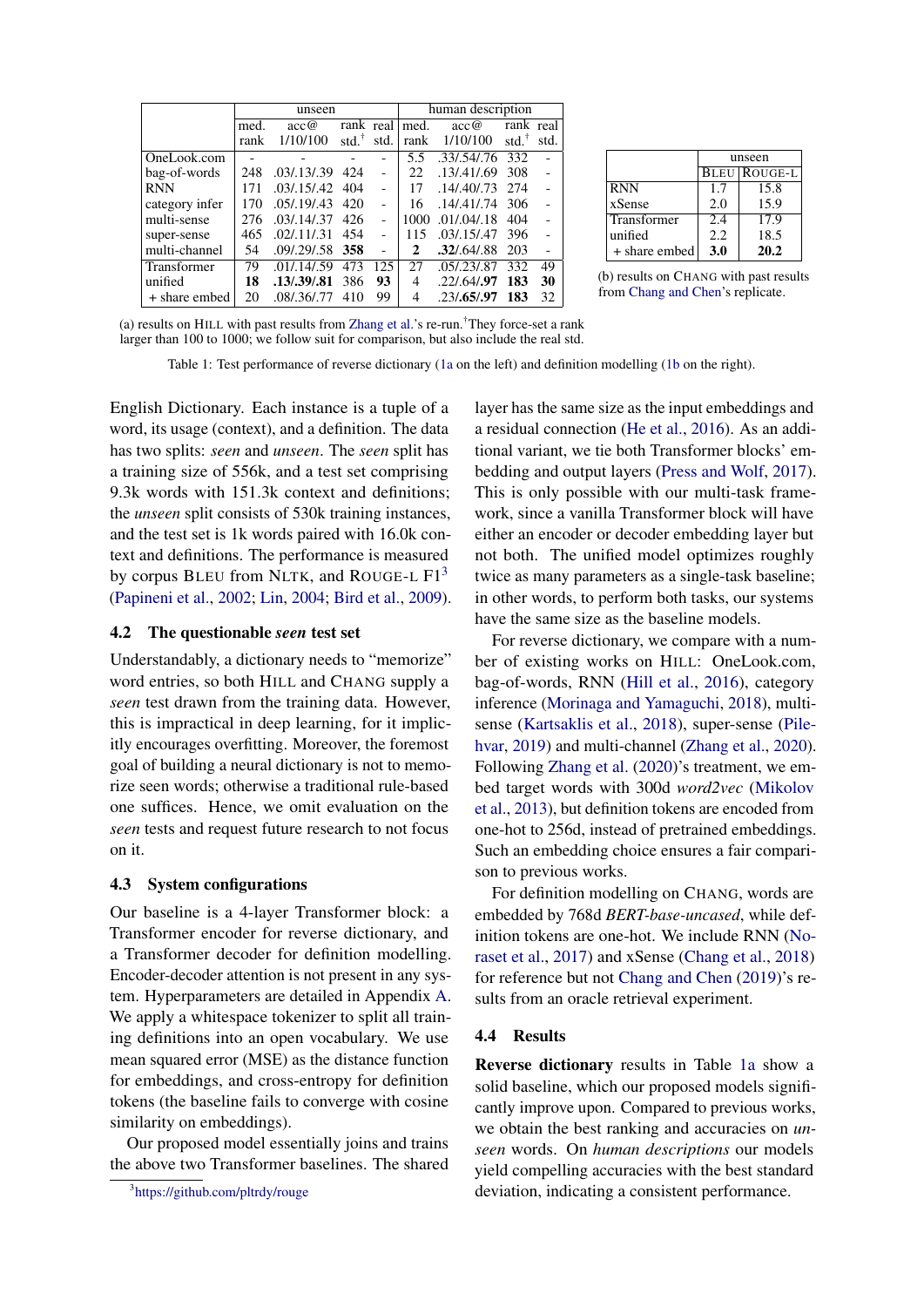<span id="page-2-0"></span>

|                | unseen |                     |                     | human description |      |               |                   |                          |
|----------------|--------|---------------------|---------------------|-------------------|------|---------------|-------------------|--------------------------|
|                | med.   | acc@                | rank real           |                   | med. | acc@          | rank real         |                          |
|                | rank   | 1/10/100            | $std.$ <sup>†</sup> | std.              | rank | 1/10/100      | std. $^{\dagger}$ | std.                     |
| OneLook.com    |        |                     |                     |                   | 5.5  | .33/.54/.76   | 332               |                          |
| bag-of-words   | 248    | .03/.13/.39         | 424                 | $\overline{a}$    | 22.  | .13/0.41/0.69 | 308               | $\overline{\phantom{a}}$ |
| <b>RNN</b>     | 171    | .03/0.15/0.42       | 404                 |                   | 17   | .14/0.40/0.73 | 274               |                          |
| category infer | 170    | .05/.19/.43         | 420                 |                   | 16   | .14/.41/.74   | 306               |                          |
| multi-sense    | 276    | .03/.14/.37         | 426                 |                   | 1000 | .01/0.04/0.18 | 404               |                          |
| super-sense    | 465    | .02/.11/.31         | 454                 |                   | 115  | .03/0.15/0.47 | 396               |                          |
| multi-channel  | 54     | $.09/0.29/0.58$ 358 |                     |                   | 2    | .32/0.64/0.88 | 203               |                          |
| Transformer    | 79     | .01/0.14/0.59       | 473                 | 125               | 27   | .05/0.23/0.87 | 332               | 49                       |
| unified        | 18     | .13/.39/.81         | 386                 | 93                | 4    | .22/0.64/0.97 | 183               | 30                       |
| + share embed  | 20     | .08/.36/.77         | 410                 | 99                | 4    | .23/0.65/0.97 | 183               | 32                       |

|                    | unseen |                     |  |
|--------------------|--------|---------------------|--|
|                    |        | <b>BLEU ROUGE-L</b> |  |
| <b>RNN</b>         | 1.7    | 15.8                |  |
| xSense             | 2.0    | 15.9                |  |
| <b>Transformer</b> | 2.4    | 17.9                |  |
| unified            | 2.2    | 18.5                |  |
| + share embed      | 3.0    | 20.2                |  |

(b) results on CHANG with past results from [Chang and Chen'](#page-4-9)s replicate.

(a) results on HILL with past results from [Zhang et al.'](#page-5-1)s re-run.†They force-set a rank larger than 100 to 1000; we follow suit for comparison, but also include the real std.

Table 1: Test performance of reverse dictionary [\(1a](#page-2-0) on the left) and definition modelling [\(1b](#page-2-0) on the right).

English Dictionary. Each instance is a tuple of a word, its usage (context), and a definition. The data has two splits: *seen* and *unseen*. The *seen* split has a training size of 556k, and a test set comprising 9.3k words with 151.3k context and definitions; the *unseen* split consists of 530k training instances, and the test set is 1k words paired with 16.0k context and definitions. The performance is measured by corpus BLEU from NLTK, and ROUGE-L  $F1<sup>3</sup>$  $F1<sup>3</sup>$  $F1<sup>3</sup>$ [\(Papineni et al.,](#page-4-11) [2002;](#page-4-11) [Lin,](#page-4-12) [2004;](#page-4-12) [Bird et al.,](#page-4-13) [2009\)](#page-4-13).

#### 4.2 The questionable *seen* test set

Understandably, a dictionary needs to "memorize" word entries, so both HILL and CHANG supply a *seen* test drawn from the training data. However, this is impractical in deep learning, for it implicitly encourages overfitting. Moreover, the foremost goal of building a neural dictionary is not to memorize seen words; otherwise a traditional rule-based one suffices. Hence, we omit evaluation on the *seen* tests and request future research to not focus on it.

### 4.3 System configurations

Our baseline is a 4-layer Transformer block: a Transformer encoder for reverse dictionary, and a Transformer decoder for definition modelling. Encoder-decoder attention is not present in any system. Hyperparameters are detailed in Appendix [A.](#page-5-3) We apply a whitespace tokenizer to split all training definitions into an open vocabulary. We use mean squared error (MSE) as the distance function for embeddings, and cross-entropy for definition tokens (the baseline fails to converge with cosine similarity on embeddings).

Our proposed model essentially joins and trains the above two Transformer baselines. The shared layer has the same size as the input embeddings and a residual connection [\(He et al.,](#page-4-14) [2016\)](#page-4-14). As an additional variant, we tie both Transformer blocks' embedding and output layers [\(Press and Wolf,](#page-4-15) [2017\)](#page-4-15). This is only possible with our multi-task framework, since a vanilla Transformer block will have either an encoder or decoder embedding layer but not both. The unified model optimizes roughly twice as many parameters as a single-task baseline; in other words, to perform both tasks, our systems have the same size as the baseline models.

For reverse dictionary, we compare with a number of existing works on HILL: OneLook.com, bag-of-words, RNN [\(Hill et al.,](#page-4-0) [2016\)](#page-4-0), category inference [\(Morinaga and Yamaguchi,](#page-4-2) [2018\)](#page-4-2), multisense [\(Kartsaklis et al.,](#page-4-16) [2018\)](#page-4-16), super-sense [\(Pile](#page-4-3)[hvar,](#page-4-3) [2019\)](#page-4-3) and multi-channel [\(Zhang et al.,](#page-5-1) [2020\)](#page-5-1). Following [Zhang et al.](#page-5-1) [\(2020\)](#page-5-1)'s treatment, we embed target words with 300d *word2vec* [\(Mikolov](#page-4-17) [et al.,](#page-4-17) [2013\)](#page-4-17), but definition tokens are encoded from one-hot to 256d, instead of pretrained embeddings. Such an embedding choice ensures a fair comparison to previous works.

For definition modelling on CHANG, words are embedded by 768d *BERT-base-uncased*, while definition tokens are one-hot. We include RNN [\(No](#page-4-1)[raset et al.,](#page-4-1) [2017\)](#page-4-1) and xSense [\(Chang et al.,](#page-4-6) [2018\)](#page-4-6) for reference but not [Chang and Chen](#page-4-9) [\(2019\)](#page-4-9)'s results from an oracle retrieval experiment.

#### 4.4 Results

Reverse dictionary results in Table [1a](#page-2-0) show a solid baseline, which our proposed models significantly improve upon. Compared to previous works, we obtain the best ranking and accuracies on *unseen* words. On *human descriptions* our models yield compelling accuracies with the best standard deviation, indicating a consistent performance.

<span id="page-2-1"></span><sup>3</sup> <https://github.com/pltrdy/rouge>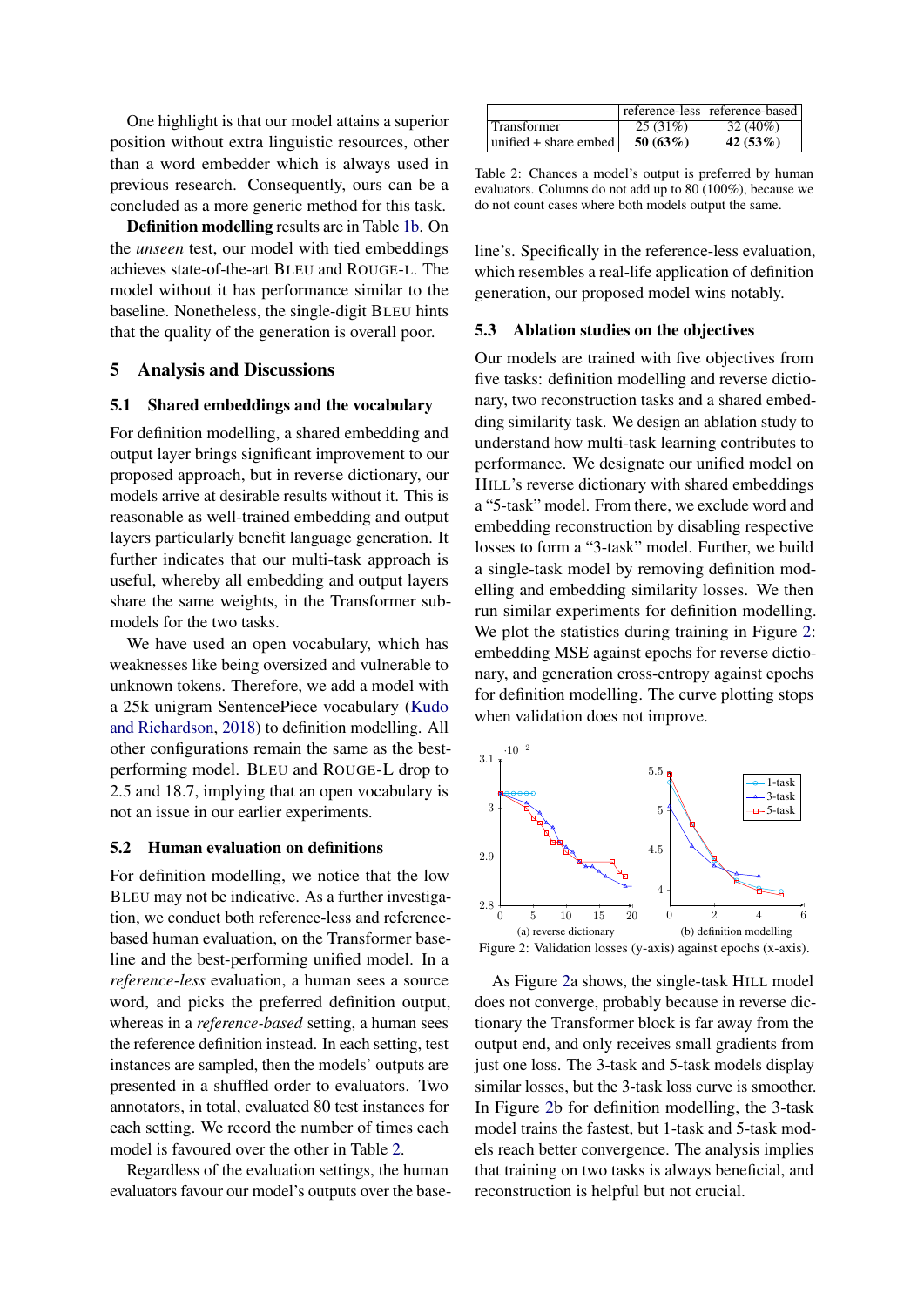One highlight is that our model attains a superior position without extra linguistic resources, other than a word embedder which is always used in previous research. Consequently, ours can be a concluded as a more generic method for this task.

Definition modelling results are in Table [1b.](#page-2-0) On the *unseen* test, our model with tied embeddings achieves state-of-the-art BLEU and ROUGE-L. The model without it has performance similar to the baseline. Nonetheless, the single-digit BLEU hints that the quality of the generation is overall poor.

### 5 Analysis and Discussions

#### 5.1 Shared embeddings and the vocabulary

For definition modelling, a shared embedding and output layer brings significant improvement to our proposed approach, but in reverse dictionary, our models arrive at desirable results without it. This is reasonable as well-trained embedding and output layers particularly benefit language generation. It further indicates that our multi-task approach is useful, whereby all embedding and output layers share the same weights, in the Transformer submodels for the two tasks.

We have used an open vocabulary, which has weaknesses like being oversized and vulnerable to unknown tokens. Therefore, we add a model with a 25k unigram SentencePiece vocabulary [\(Kudo](#page-4-18) [and Richardson,](#page-4-18) [2018\)](#page-4-18) to definition modelling. All other configurations remain the same as the bestperforming model. BLEU and ROUGE-L drop to 2.5 and 18.7, implying that an open vocabulary is not an issue in our earlier experiments.

#### 5.2 Human evaluation on definitions

For definition modelling, we notice that the low BLEU may not be indicative. As a further investigation, we conduct both reference-less and referencebased human evaluation, on the Transformer baseline and the best-performing unified model. In a *reference-less* evaluation, a human sees a source word, and picks the preferred definition output, whereas in a *reference-based* setting, a human sees the reference definition instead. In each setting, test instances are sampled, then the models' outputs are presented in a shuffled order to evaluators. Two annotators, in total, evaluated 80 test instances for each setting. We record the number of times each model is favoured over the other in Table [2.](#page-3-0)

Regardless of the evaluation settings, the human evaluators favour our model's outputs over the base-

<span id="page-3-0"></span>

|                                 |         | reference-less   reference-based |
|---------------------------------|---------|----------------------------------|
| Transformer                     | 25(31%) | $32(40\%)$                       |
| $ $ unified $+$ share embed $ $ | 50(63%) | 42(53%)                          |

Table 2: Chances a model's output is preferred by human evaluators. Columns do not add up to 80 (100%), because we do not count cases where both models output the same.

line's. Specifically in the reference-less evaluation, which resembles a real-life application of definition generation, our proposed model wins notably.

#### 5.3 Ablation studies on the objectives

Our models are trained with five objectives from five tasks: definition modelling and reverse dictionary, two reconstruction tasks and a shared embedding similarity task. We design an ablation study to understand how multi-task learning contributes to performance. We designate our unified model on HILL's reverse dictionary with shared embeddings a "5-task" model. From there, we exclude word and embedding reconstruction by disabling respective losses to form a "3-task" model. Further, we build a single-task model by removing definition modelling and embedding similarity losses. We then run similar experiments for definition modelling. We plot the statistics during training in Figure [2:](#page-3-1) embedding MSE against epochs for reverse dictionary, and generation cross-entropy against epochs for definition modelling. The curve plotting stops when validation does not improve.

<span id="page-3-1"></span>

As Figure [2a](#page-3-1) shows, the single-task HILL model does not converge, probably because in reverse dictionary the Transformer block is far away from the output end, and only receives small gradients from just one loss. The 3-task and 5-task models display similar losses, but the 3-task loss curve is smoother. In Figure [2b](#page-3-1) for definition modelling, the 3-task model trains the fastest, but 1-task and 5-task models reach better convergence. The analysis implies that training on two tasks is always beneficial, and reconstruction is helpful but not crucial.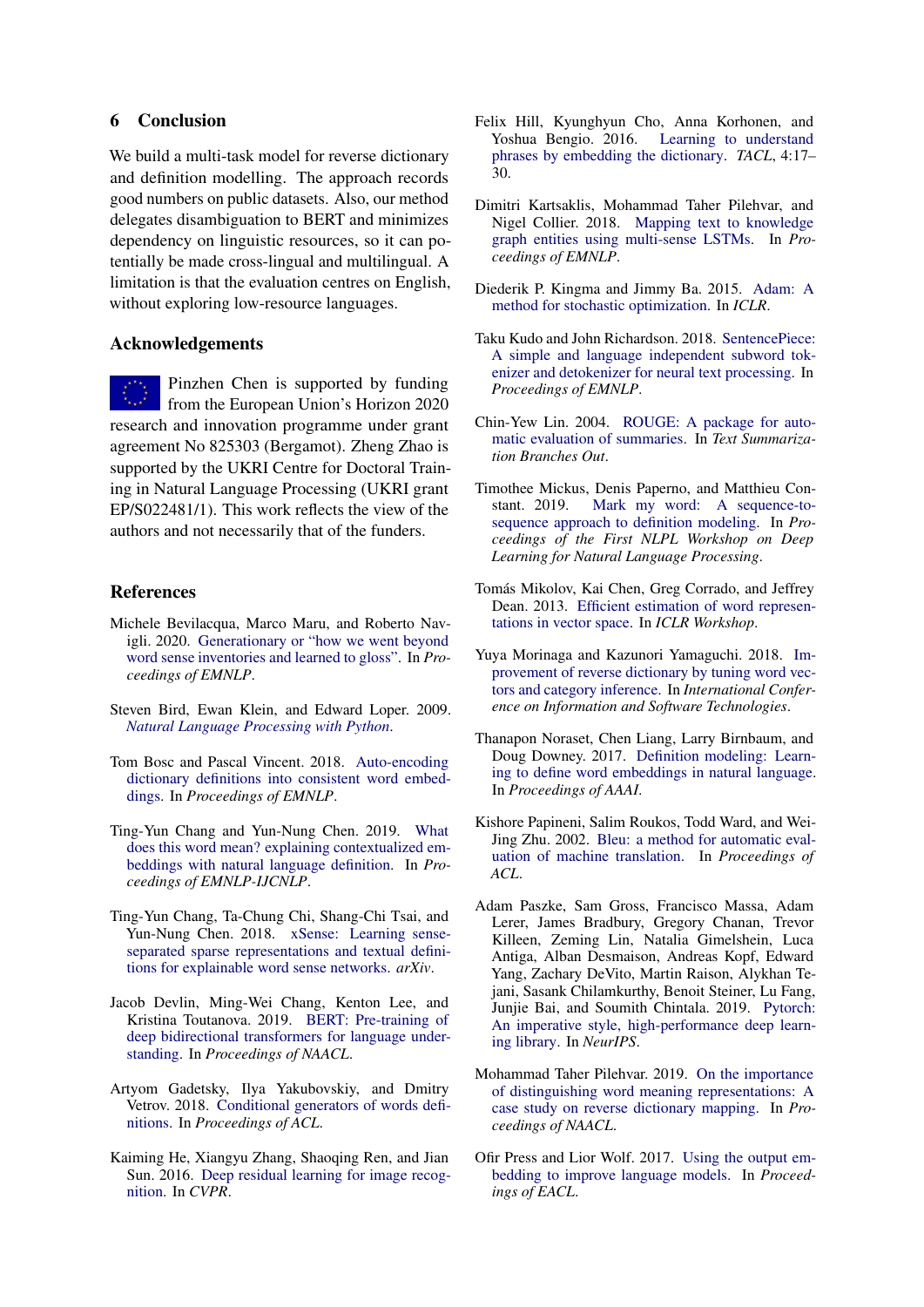# 6 Conclusion

We build a multi-task model for reverse dictionary and definition modelling. The approach records good numbers on public datasets. Also, our method delegates disambiguation to BERT and minimizes dependency on linguistic resources, so it can potentially be made cross-lingual and multilingual. A limitation is that the evaluation centres on English, without exploring low-resource languages.

### Acknowledgements

Pinzhen Chen is supported by funding from the European Union's Horizon 2020 research and innovation programme under grant agreement No 825303 (Bergamot). Zheng Zhao is supported by the UKRI Centre for Doctoral Training in Natural Language Processing (UKRI grant EP/S022481/1). This work reflects the view of the authors and not necessarily that of the funders.

### References

- <span id="page-4-8"></span>Michele Bevilacqua, Marco Maru, and Roberto Navigli. 2020. [Generationary or "how we went beyond](https://doi.org/10.18653/v1/2020.emnlp-main.585) [word sense inventories and learned to gloss".](https://doi.org/10.18653/v1/2020.emnlp-main.585) In *Proceedings of EMNLP*.
- <span id="page-4-13"></span>Steven Bird, Ewan Klein, and Edward Loper. 2009. *[Natural Language Processing with Python](https://www.oreilly.com/library/view/natural-language-processing/9780596803346/)*.
- <span id="page-4-4"></span>Tom Bosc and Pascal Vincent. 2018. [Auto-encoding](https://doi.org/10.18653/v1/D18-1181) [dictionary definitions into consistent word embed](https://doi.org/10.18653/v1/D18-1181)[dings.](https://doi.org/10.18653/v1/D18-1181) In *Proceedings of EMNLP*.
- <span id="page-4-9"></span>Ting-Yun Chang and Yun-Nung Chen. 2019. [What](https://doi.org/10.18653/v1/D19-1627) [does this word mean? explaining contextualized em](https://doi.org/10.18653/v1/D19-1627)[beddings with natural language definition.](https://doi.org/10.18653/v1/D19-1627) In *Proceedings of EMNLP-IJCNLP*.
- <span id="page-4-6"></span>Ting-Yun Chang, Ta-Chung Chi, Shang-Chi Tsai, and Yun-Nung Chen. 2018. [xSense: Learning sense](https://arxiv.org/pdf/1809.03348.pdf)[separated sparse representations and textual defini](https://arxiv.org/pdf/1809.03348.pdf)[tions for explainable word sense networks.](https://arxiv.org/pdf/1809.03348.pdf) *arXiv*.
- <span id="page-4-10"></span>Jacob Devlin, Ming-Wei Chang, Kenton Lee, and Kristina Toutanova. 2019. [BERT: Pre-training of](https://doi.org/10.18653/v1/N19-1423) [deep bidirectional transformers for language under](https://doi.org/10.18653/v1/N19-1423)[standing.](https://doi.org/10.18653/v1/N19-1423) In *Proceedings of NAACL*.
- <span id="page-4-5"></span>Artyom Gadetsky, Ilya Yakubovskiy, and Dmitry Vetrov. 2018. [Conditional generators of words defi](https://doi.org/10.18653/v1/P18-2043)[nitions.](https://doi.org/10.18653/v1/P18-2043) In *Proceedings of ACL*.
- <span id="page-4-14"></span>Kaiming He, Xiangyu Zhang, Shaoqing Ren, and Jian Sun. 2016. [Deep residual learning for image recog](https://doi.org/10.1109/CVPR.2016.90)[nition.](https://doi.org/10.1109/CVPR.2016.90) In *CVPR*.
- <span id="page-4-0"></span>Felix Hill, Kyunghyun Cho, Anna Korhonen, and Yoshua Bengio. 2016. [Learning to understand](https://doi.org/10.1162/tacl_a_00080) [phrases by embedding the dictionary.](https://doi.org/10.1162/tacl_a_00080) *TACL*, 4:17– 30.
- <span id="page-4-16"></span>Dimitri Kartsaklis, Mohammad Taher Pilehvar, and Nigel Collier. 2018. [Mapping text to knowledge](https://doi.org/10.18653/v1/D18-1221) [graph entities using multi-sense LSTMs.](https://doi.org/10.18653/v1/D18-1221) In *Proceedings of EMNLP*.
- <span id="page-4-20"></span>Diederik P. Kingma and Jimmy Ba. 2015. [Adam: A](http://arxiv.org/abs/1412.6980) [method for stochastic optimization.](http://arxiv.org/abs/1412.6980) In *ICLR*.
- <span id="page-4-18"></span>Taku Kudo and John Richardson. 2018. [SentencePiece:](https://doi.org/10.18653/v1/D18-2012) [A simple and language independent subword tok](https://doi.org/10.18653/v1/D18-2012)[enizer and detokenizer for neural text processing.](https://doi.org/10.18653/v1/D18-2012) In *Proceedings of EMNLP*.
- <span id="page-4-12"></span>Chin-Yew Lin. 2004. [ROUGE: A package for auto](https://aclanthology.org/W04-1013)[matic evaluation of summaries.](https://aclanthology.org/W04-1013) In *Text Summarization Branches Out*.
- <span id="page-4-7"></span>Timothee Mickus, Denis Paperno, and Matthieu Constant. 2019. [Mark my word: A sequence-to](https://aclanthology.org/W19-6201)[sequence approach to definition modeling.](https://aclanthology.org/W19-6201) In *Proceedings of the First NLPL Workshop on Deep Learning for Natural Language Processing*.
- <span id="page-4-17"></span>Tomás Mikolov, Kai Chen, Greg Corrado, and Jeffrey Dean. 2013. [Efficient estimation of word represen](http://arxiv.org/abs/1301.3781)[tations in vector space.](http://arxiv.org/abs/1301.3781) In *ICLR Workshop*.
- <span id="page-4-2"></span>Yuya Morinaga and Kazunori Yamaguchi. 2018. [Im](https://link.springer.com/chapter/10.1007/978-3-319-99972-2_44)[provement of reverse dictionary by tuning word vec](https://link.springer.com/chapter/10.1007/978-3-319-99972-2_44)[tors and category inference.](https://link.springer.com/chapter/10.1007/978-3-319-99972-2_44) In *International Conference on Information and Software Technologies*.
- <span id="page-4-1"></span>Thanapon Noraset, Chen Liang, Larry Birnbaum, and Doug Downey. 2017. [Definition modeling: Learn](http://aaai.org/ocs/index.php/AAAI/AAAI17/paper/view/14827)[ing to define word embeddings in natural language.](http://aaai.org/ocs/index.php/AAAI/AAAI17/paper/view/14827) In *Proceedings of AAAI*.
- <span id="page-4-11"></span>Kishore Papineni, Salim Roukos, Todd Ward, and Wei-Jing Zhu. 2002. [Bleu: a method for automatic eval](https://doi.org/10.3115/1073083.1073135)[uation of machine translation.](https://doi.org/10.3115/1073083.1073135) In *Proceedings of ACL*.
- <span id="page-4-19"></span>Adam Paszke, Sam Gross, Francisco Massa, Adam Lerer, James Bradbury, Gregory Chanan, Trevor Killeen, Zeming Lin, Natalia Gimelshein, Luca Antiga, Alban Desmaison, Andreas Kopf, Edward Yang, Zachary DeVito, Martin Raison, Alykhan Tejani, Sasank Chilamkurthy, Benoit Steiner, Lu Fang, Junjie Bai, and Soumith Chintala. 2019. [Pytorch:](http://papers.neurips.cc/paper/9015-pytorch-an-imperative-style-high-performance-deep-learning-library.pdf) [An imperative style, high-performance deep learn](http://papers.neurips.cc/paper/9015-pytorch-an-imperative-style-high-performance-deep-learning-library.pdf)[ing library.](http://papers.neurips.cc/paper/9015-pytorch-an-imperative-style-high-performance-deep-learning-library.pdf) In *NeurIPS*.
- <span id="page-4-3"></span>Mohammad Taher Pilehvar. 2019. [On the importance](https://doi.org/10.18653/v1/N19-1222) [of distinguishing word meaning representations: A](https://doi.org/10.18653/v1/N19-1222) [case study on reverse dictionary mapping.](https://doi.org/10.18653/v1/N19-1222) In *Proceedings of NAACL*.
- <span id="page-4-15"></span>Ofir Press and Lior Wolf. 2017. [Using the output em](https://aclanthology.org/E17-2025)[bedding to improve language models.](https://aclanthology.org/E17-2025) In *Proceedings of EACL*.